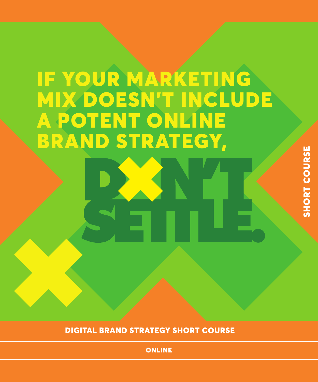# IF YOUR MARKETING MIX DOESN'T INCLUDE A POTENT ONLINE BRAND STRATEGY,

DIGITAL BRAND STRATEGY SHORT COURSE

**ONLINE**